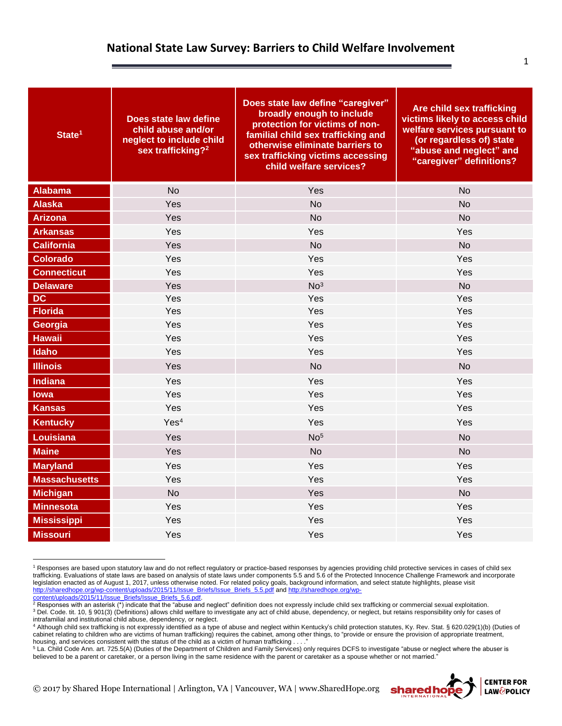## **National State Law Survey: Barriers to Child Welfare Involvement**

| State <sup>1</sup>   | Does state law define<br>child abuse and/or<br>neglect to include child<br>sex trafficking? <sup>2</sup> | Does state law define "caregiver"<br>broadly enough to include<br>protection for victims of non-<br>familial child sex trafficking and<br>otherwise eliminate barriers to<br>sex trafficking victims accessing<br>child welfare services? | Are child sex trafficking<br>victims likely to access child<br>welfare services pursuant to<br>(or regardless of) state<br>"abuse and neglect" and<br>"caregiver" definitions? |
|----------------------|----------------------------------------------------------------------------------------------------------|-------------------------------------------------------------------------------------------------------------------------------------------------------------------------------------------------------------------------------------------|--------------------------------------------------------------------------------------------------------------------------------------------------------------------------------|
| <b>Alabama</b>       | <b>No</b>                                                                                                | Yes                                                                                                                                                                                                                                       | <b>No</b>                                                                                                                                                                      |
| <b>Alaska</b>        | Yes                                                                                                      | <b>No</b>                                                                                                                                                                                                                                 | <b>No</b>                                                                                                                                                                      |
| <b>Arizona</b>       | Yes                                                                                                      | <b>No</b>                                                                                                                                                                                                                                 | <b>No</b>                                                                                                                                                                      |
| <b>Arkansas</b>      | Yes                                                                                                      | Yes                                                                                                                                                                                                                                       | Yes                                                                                                                                                                            |
| <b>California</b>    | Yes                                                                                                      | <b>No</b>                                                                                                                                                                                                                                 | <b>No</b>                                                                                                                                                                      |
| <b>Colorado</b>      | Yes                                                                                                      | Yes                                                                                                                                                                                                                                       | Yes                                                                                                                                                                            |
| <b>Connecticut</b>   | Yes                                                                                                      | Yes                                                                                                                                                                                                                                       | Yes                                                                                                                                                                            |
| <b>Delaware</b>      | Yes                                                                                                      | No <sup>3</sup>                                                                                                                                                                                                                           | <b>No</b>                                                                                                                                                                      |
| <b>DC</b>            | Yes                                                                                                      | Yes                                                                                                                                                                                                                                       | Yes                                                                                                                                                                            |
| <b>Florida</b>       | Yes                                                                                                      | Yes                                                                                                                                                                                                                                       | Yes                                                                                                                                                                            |
| Georgia              | Yes                                                                                                      | Yes                                                                                                                                                                                                                                       | Yes                                                                                                                                                                            |
| <b>Hawaii</b>        | Yes                                                                                                      | Yes                                                                                                                                                                                                                                       | Yes                                                                                                                                                                            |
| Idaho                | Yes                                                                                                      | Yes                                                                                                                                                                                                                                       | Yes                                                                                                                                                                            |
| <b>Illinois</b>      | Yes                                                                                                      | <b>No</b>                                                                                                                                                                                                                                 | <b>No</b>                                                                                                                                                                      |
| <b>Indiana</b>       | Yes                                                                                                      | Yes                                                                                                                                                                                                                                       | Yes                                                                                                                                                                            |
| lowa                 | Yes                                                                                                      | Yes                                                                                                                                                                                                                                       | Yes                                                                                                                                                                            |
| <b>Kansas</b>        | Yes                                                                                                      | Yes                                                                                                                                                                                                                                       | Yes                                                                                                                                                                            |
| <b>Kentucky</b>      | Yes <sup>4</sup>                                                                                         | Yes                                                                                                                                                                                                                                       | Yes                                                                                                                                                                            |
| Louisiana            | Yes                                                                                                      | No <sup>5</sup>                                                                                                                                                                                                                           | <b>No</b>                                                                                                                                                                      |
| <b>Maine</b>         | Yes                                                                                                      | <b>No</b>                                                                                                                                                                                                                                 | <b>No</b>                                                                                                                                                                      |
| <b>Maryland</b>      | Yes                                                                                                      | Yes                                                                                                                                                                                                                                       | Yes                                                                                                                                                                            |
| <b>Massachusetts</b> | Yes                                                                                                      | Yes                                                                                                                                                                                                                                       | Yes                                                                                                                                                                            |
| <b>Michigan</b>      | <b>No</b>                                                                                                | Yes                                                                                                                                                                                                                                       | <b>No</b>                                                                                                                                                                      |
| <b>Minnesota</b>     | Yes                                                                                                      | Yes                                                                                                                                                                                                                                       | Yes                                                                                                                                                                            |
| <b>Mississippi</b>   | Yes                                                                                                      | Yes                                                                                                                                                                                                                                       | Yes                                                                                                                                                                            |
| <b>Missouri</b>      | Yes                                                                                                      | Yes                                                                                                                                                                                                                                       | Yes                                                                                                                                                                            |

<sup>&</sup>lt;sup>1</sup> Responses are based upon statutory law and do not reflect regulatory or practice-based responses by agencies providing child protective services in cases of child sex trafficking. Evaluations of state laws are based on analysis of state laws under components 5.5 and 5.6 of the Protected Innocence Challenge Framework and incorporate legislation enacted as of August 1, 2017, unless otherwise noted. For related policy goals, background information, and select statute highlights, please visit [http://sharedhope.org/wp-content/uploads/2015/11/Issue\\_Briefs/Issue\\_Briefs\\_5.5.pdf](http://sharedhope.org/wp-content/uploads/2015/11/Issue_Briefs/Issue_Briefs_5.5.pdf) an[d http://sharedhope.org/wp-](http://sharedhope.org/wp-content/uploads/2015/11/Issue_Briefs/Issue_Briefs_5.6.pdf)

<sup>4</sup> Although child sex trafficking is not expressly identified as a type of abuse and neglect within Kentucky's child protection statutes, Ky. Rev. Stat. § 620.029(1)(b) (Duties of cabinet relating to children who are victims of human trafficking) requires the cabinet, among other things, to "provide or ensure the provision of appropriate treatment, housing, and services consistent with the status of the child as a victim of human trafficking . . . .

<sup>5</sup> La. Child Code Ann. art. 725.5(A) (Duties of the Department of Children and Family Services) only requires DCFS to investigate "abuse or neglect where the abuser is believed to be a parent or caretaker, or a person living in the same residence with the parent or caretaker as a spouse whether or not married."

© 2017 by Shared Hope International | Arlington, VA | Vancouver, WA | www.SharedHope.org

 $\overline{a}$ 

<sup>&</sup>lt;u>content/uploads/2015/11/Issue\_Briefs/Issue\_Briefs\_5.6.pdf</u>.<br><sup>2</sup> Responses with an asterisk (\*) indicate that the "abuse and neglect" definition does not expressly include child sex trafficking or commercial sexual exploit <sup>3</sup> Del. Code. tit. 10, § 901(3) (Definitions) allows child welfare to investigate any act of child abuse, dependency, or neglect, but retains responsibility only for cases of intrafamilial and institutional child abuse, dependency, or neglect.